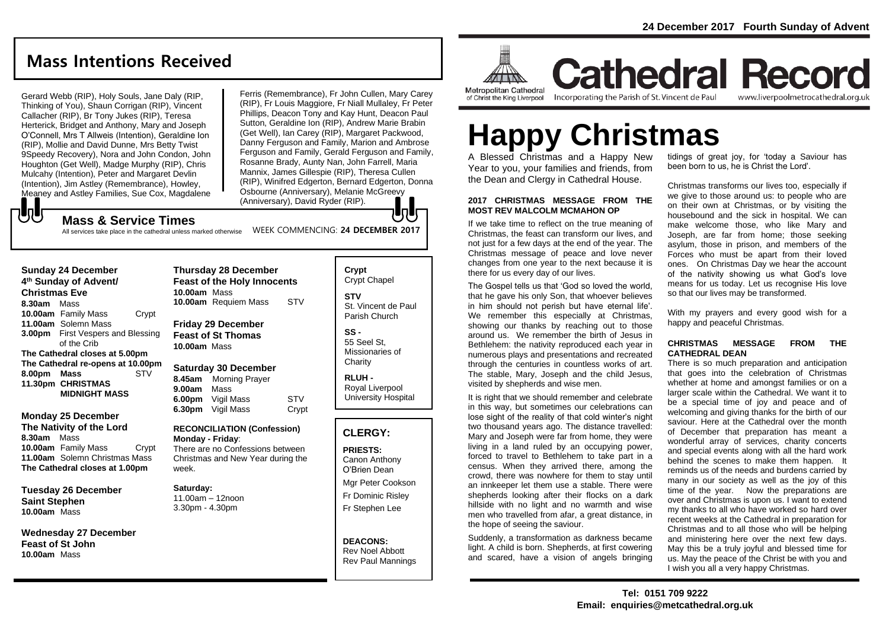# **Mass Intentions Received**

Gerard Webb (RIP), Holy Souls, Jane Daly (RIP, Thinking of You), Shaun Corrigan (RIP), Vincent Callacher (RIP), Br Tony Jukes (RIP), Teresa Herterick, Bridget and Anthony, Mary and Joseph O'Connell, Mrs T Allweis (Intention), Geraldine Ion (RIP), Mollie and David Dunne, Mrs Betty Twist 9Speedy Recovery), Nora and John Condon, John Houghton (Get Well), Madge Murphy (RIP), Chris Mulcahy (Intention), Peter and Margaret Devlin (Intention), Jim Astley (Remembrance), Howley, Meaney and Astley Families, Sue Cox, Magdalene

Ferris (Remembrance), Fr John Cullen, Mary Carey (RIP), Fr Louis Maggiore, Fr Niall Mullaley, Fr Peter Phillips, Deacon Tony and Kay Hunt, Deacon Paul Sutton, Geraldine Ion (RIP), Andrew Marie Brabin (Get Well), Ian Carey (RIP), Margaret Packwood, Danny Ferguson and Family, Marion and Ambrose Ferguson and Family, Gerald Ferguson and Family, Rosanne Brady, Aunty Nan, John Farrell, Maria Mannix, James Gillespie (RIP), Theresa Cullen (RIP), Winifred Edgerton, Bernard Edgerton, Donna Osbourne (Anniversary), Melanie McGreevy (Anniversary), David Ryder (RIP).

## **Mass & Service Times**

WEEK COMMENCING: **24 DECEMBER 2017** All services take place in the cathedral unless marked otherwise

#### **Sunday 24 December 4 th Sunday of Advent/ Christmas Eve 8.30am** Mass **10.00am** Family Mass Crypt **11.00am** Solemn Mass **3.00pm** First Vespers and Blessing of the Crib **The Cathedral closes at 5.00pm The Cathedral re-opens at 10.00pm 8.00pm Mass** STV **11.30pm CHRISTMAS MIDNIGHT MASS**

もし

#### **Monday 25 December The Nativity of the Lord 8.30am** Mass **10.00am** Family Mass Crypt **11.00am** Solemn Christmas Mass **The Cathedral closes at 1.00pm**

**Tuesday 26 December Saint Stephen 10.00am** Mass

**Wednesday 27 December Feast of St John 10.00am** Mass

## **Thursday 28 December Feast of the Holy Innocents 10.00am** Mass **10.00am** Requiem Mass STV **Friday 29 December**

**Feast of St Thomas 10.00am** Mass

#### **Saturday 30 December**

**8.45am** Morning Prayer **9.00am** Mass **6.00pm** Vigil Mass STV **6.30pm** Vigil Mass Crypt

#### **RECONCILIATION (Confession) Monday - Friday**:

There are no Confessions between Christmas and New Year during the week.

#### **Saturday:** 11.00am – 12noon 3.30pm - 4.30pm

**STV** St. Vincent de Paul Parish Church **SS -**

**Crypt**  Crypt Chapel

55 Seel St, Missionaries of **Charity** 

**RLUH -** Royal Liverpool University Hospital

# **CLERGY:**

**PRIESTS:** Canon Anthony O'Brien *Dean*

Mgr Peter Cookson Fr Dominic Risley Fr Stephen Lee

**DEACONS:** Rev Noel Abbott Rev Paul Mannings



**Cathedral Record** Incorporating the Parish of St. Vincent de Paul www.liverpoolmetrocathedral.org.uk

# **Happy Christmas**

A Blessed Christmas and a Happy New Year to you, your families and friends, from the Dean and Clergy in Cathedral House.

#### **2017 CHRISTMAS MESSAGE FROM THE MOST REV MALCOLM MCMAHON OP**

If we take time to reflect on the true meaning of Christmas, the feast can transform our lives, and not just for a few days at the end of the year. The Christmas message of peace and love never changes from one year to the next because it is there for us every day of our lives.

The Gospel tells us that 'God so loved the world, that he gave his only Son, that whoever believes in him should not perish but have eternal life'. We remember this especially at Christmas, showing our thanks by reaching out to those around us. We remember the birth of Jesus in Bethlehem: the nativity reproduced each year in numerous plays and presentations and recreated through the centuries in countless works of art. The stable, Mary, Joseph and the child Jesus, visited by shepherds and wise men.

It is right that we should remember and celebrate in this way, but sometimes our celebrations can lose sight of the reality of that cold winter's night two thousand years ago. The distance travelled: Mary and Joseph were far from home, they were living in a land ruled by an occupying power, forced to travel to Bethlehem to take part in a census. When they arrived there, among the crowd, there was nowhere for them to stay until an innkeeper let them use a stable. There were shepherds looking after their flocks on a dark hillside with no light and no warmth and wise men who travelled from afar, a great distance, in the hope of seeing the saviour.

Suddenly, a transformation as darkness became light. A child is born. Shepherds, at first cowering and scared, have a vision of angels bringing

tidings of great joy, for 'today a Saviour has been born to us, he is Christ the Lord'.

Christmas transforms our lives too, especially if we give to those around us: to people who are on their own at Christmas, or by visiting the housebound and the sick in hospital. We can make welcome those, who like Mary and Joseph, are far from home; those seeking asylum, those in prison, and members of the Forces who must be apart from their loved ones. On Christmas Day we hear the account of the nativity showing us what God's love means for us today. Let us recognise His love so that our lives may be transformed.

With my prayers and every good wish for a happy and peaceful Christmas.

#### **CHRISTMAS MESSAGE FROM THE CATHEDRAL DEAN**

There is so much preparation and anticipation that goes into the celebration of Christmas whether at home and amongst families or on a larger scale within the Cathedral. We want it to be a special time of joy and peace and of welcoming and giving thanks for the birth of our saviour. Here at the Cathedral over the month of December that preparation has meant a wonderful array of services, charity concerts and special events along with all the hard work behind the scenes to make them happen. It reminds us of the needs and burdens carried by many in our society as well as the joy of this time of the year. Now the preparations are over and Christmas is upon us. I want to extend my thanks to all who have worked so hard over recent weeks at the Cathedral in preparation for Christmas and to all those who will be helping and ministering here over the next few days. May this be a truly joyful and blessed time for us. May the peace of the Christ be with you and I wish you all a very happy Christmas.